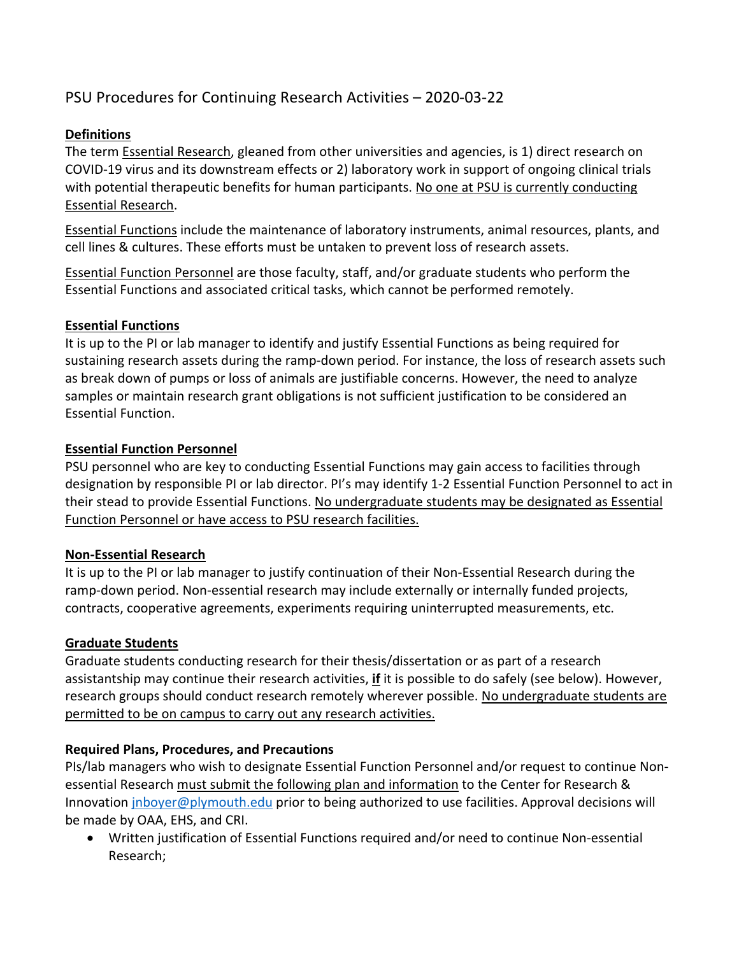# PSU Procedures for Continuing Research Activities – 2020‐03‐22

## **Definitions**

The term **Essential Research**, gleaned from other universities and agencies, is 1) direct research on COVID‐19 virus and its downstream effects or 2) laboratory work in support of ongoing clinical trials with potential therapeutic benefits for human participants. No one at PSU is currently conducting Essential Research.

Essential Functions include the maintenance of laboratory instruments, animal resources, plants, and cell lines & cultures. These efforts must be untaken to prevent loss of research assets.

Essential Function Personnel are those faculty, staff, and/or graduate students who perform the Essential Functions and associated critical tasks, which cannot be performed remotely.

#### **Essential Functions**

It is up to the PI or lab manager to identify and justify Essential Functions as being required for sustaining research assets during the ramp‐down period. For instance, the loss of research assets such as break down of pumps or loss of animals are justifiable concerns. However, the need to analyze samples or maintain research grant obligations is not sufficient justification to be considered an Essential Function.

#### **Essential Function Personnel**

PSU personnel who are key to conducting Essential Functions may gain access to facilities through designation by responsible PI or lab director. PI's may identify 1‐2 Essential Function Personnel to act in their stead to provide Essential Functions. No undergraduate students may be designated as Essential Function Personnel or have access to PSU research facilities.

#### **Non‐Essential Research**

It is up to the PI or lab manager to justify continuation of their Non‐Essential Research during the ramp-down period. Non-essential research may include externally or internally funded projects, contracts, cooperative agreements, experiments requiring uninterrupted measurements, etc.

#### **Graduate Students**

Graduate students conducting research for their thesis/dissertation or as part of a research assistantship may continue their research activities, **if** it is possible to do safely (see below). However, research groups should conduct research remotely wherever possible. No undergraduate students are permitted to be on campus to carry out any research activities.

#### **Required Plans, Procedures, and Precautions**

PIs/lab managers who wish to designate Essential Function Personnel and/or request to continue Non‐ essential Research must submit the following plan and information to the Center for Research & Innovation jnboyer@plymouth.edu prior to being authorized to use facilities. Approval decisions will be made by OAA, EHS, and CRI.

● Written justification of Essential Functions required and/or need to continue Non-essential Research;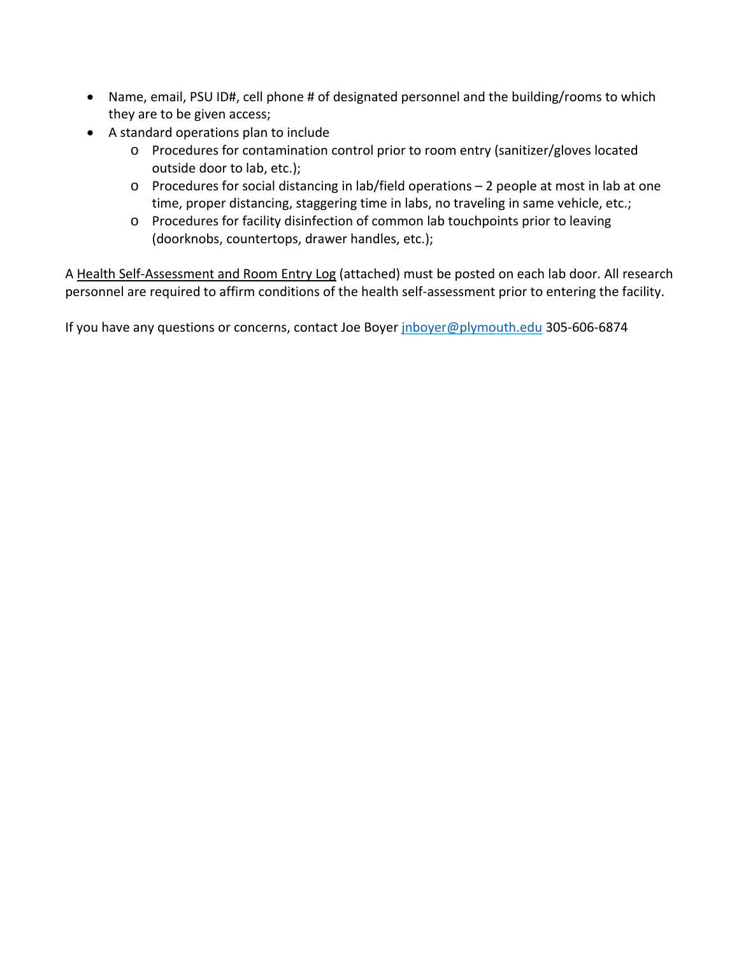- Name, email, PSU ID#, cell phone # of designated personnel and the building/rooms to which they are to be given access;
- A standard operations plan to include
	- o Procedures for contamination control prior to room entry (sanitizer/gloves located outside door to lab, etc.);
	- o Procedures for social distancing in lab/field operations 2 people at most in lab at one time, proper distancing, staggering time in labs, no traveling in same vehicle, etc.;
	- o Procedures for facility disinfection of common lab touchpoints prior to leaving (doorknobs, countertops, drawer handles, etc.);

A Health Self‐Assessment and Room Entry Log (attached) must be posted on each lab door. All research personnel are required to affirm conditions of the health self-assessment prior to entering the facility.

If you have any questions or concerns, contact Joe Boyer jnboyer@plymouth.edu 305-606-6874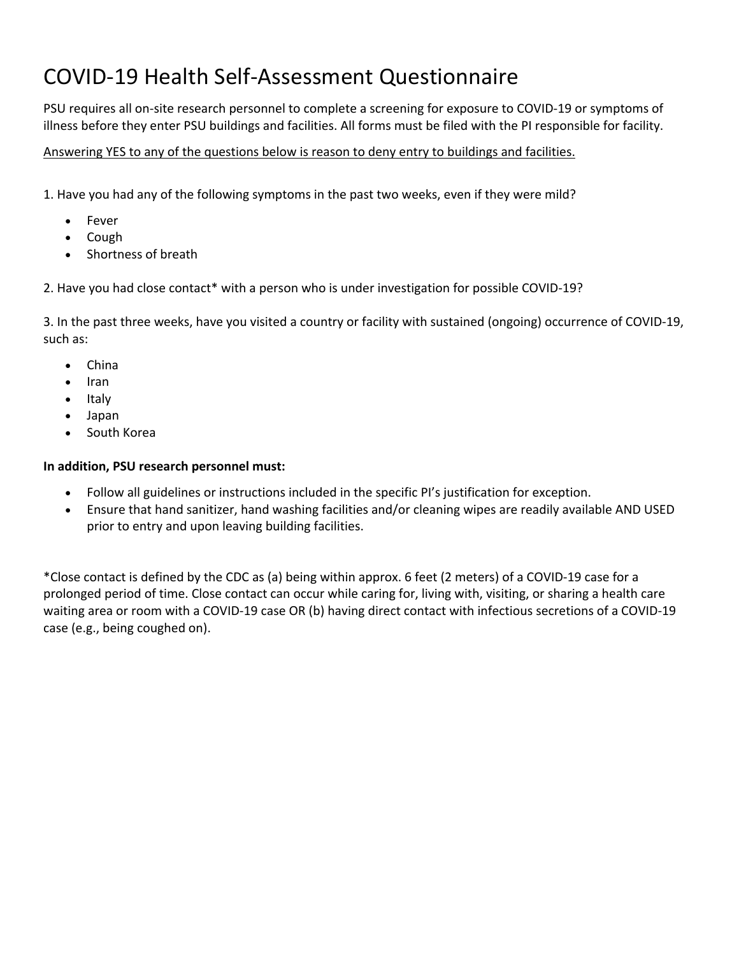# COVID‐19 Health Self‐Assessment Questionnaire

PSU requires all on‐site research personnel to complete a screening for exposure to COVID‐19 or symptoms of illness before they enter PSU buildings and facilities. All forms must be filed with the PI responsible for facility.

### Answering YES to any of the questions below is reason to deny entry to buildings and facilities.

1. Have you had any of the following symptoms in the past two weeks, even if they were mild?

- Fever
- Cough
- Shortness of breath

2. Have you had close contact\* with a person who is under investigation for possible COVID‐19?

3. In the past three weeks, have you visited a country or facility with sustained (ongoing) occurrence of COVID‐19, such as:

- China
- Iran
- Italy
- Japan
- South Korea

#### **In addition, PSU research personnel must:**

- Follow all guidelines or instructions included in the specific PI's justification for exception.
- Ensure that hand sanitizer, hand washing facilities and/or cleaning wipes are readily available AND USED prior to entry and upon leaving building facilities.

\*Close contact is defined by the CDC as (a) being within approx. 6 feet (2 meters) of a COVID‐19 case for a prolonged period of time. Close contact can occur while caring for, living with, visiting, or sharing a health care waiting area or room with a COVID‐19 case OR (b) having direct contact with infectious secretions of a COVID‐19 case (e.g., being coughed on).